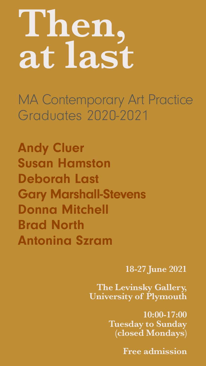MA Contemporary Art Practice Graduates 2020-2021



#### **The Levinsky Gallery, University of Plymouth**

**10:00-17:00 Tuesday to Sunday (closed Mondays)** 

**Free admission**

Andy Cluer Susan Hamston Deborah Last Gary Marshall-Stevens Donna Mitchell Brad North Antonina Szram

# **Then, at last**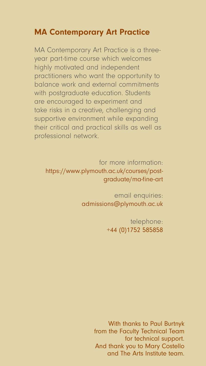With thanks to Paul Burtnyk from the Faculty Technical Team for technical support. And thank you to Mary Costello and The Arts Institute team.

#### MA Contemporary Art Practice

MA Contemporary Art Practice is a threeyear part-time course which welcomes highly motivated and independent practitioners who want the opportunity to balance work and external commitments with postgraduate education. Students are encouraged to experiment and take risks in a creative, challenging and supportive environment while expanding their critical and practical skills as well as professional network.

for more information: https://www.plymouth.ac.uk/courses/postgraduate/ma-fine-art

> email enquiries: [admissions@plymouth.ac.uk](mailto:admissions%40plymouth.ac.uk%20?subject=)

> > telephone: +44 (0)1752 585858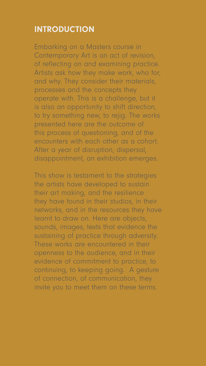#### INTRODUCTION

Embarking on a Masters course in Contemporary Art is an act of revision, of reflecting on and examining practice. Artists ask how they make work, who for, and why. They consider their materials, processes and the concepts they operate with. This is a challenge, but it is also an opportunity to shift direction, to try something new, to rejig. The works presented here are the outcome of this process of questioning, and of the encounters with each other as a cohort. After a year of disruption, dispersal, disappointment, an exhibition emerges.

This show is testament to the strategies the artists have developed to sustain their art making, and the resilience they have found in their studios, in their networks, and in the resources they have learnt to draw on. Here are objects, sounds, images, texts that evidence the sustaining of practice through adversity. These works are encountered in their openness to the audience, and in their

evidence of commitment to practice, to continuing, to keeping going. A gesture of connection, of communication, they invite you to meet them on these terms.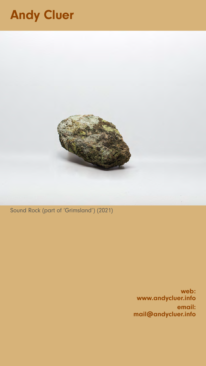Sound Rock (part of 'Grimsland') (2021)

# Andy Cluer



web: [www.andycluer.info](http://www.andycluer.info) email: [mail@andycluer.info](mailto:mail%40andycluer.info%20%20?subject=)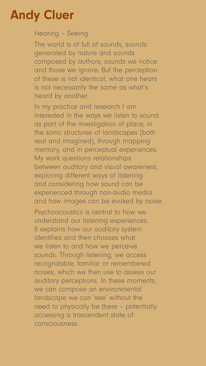## Andy Cluer

Hearing – Seeing

The world is of full of sounds, sounds generated by nature and sounds composed by authors, sounds we notice and those we ignore. But the perception of these is not identical, what one hears is not necessarily the same as what's heard by another.

In my practice and research I am interested in the ways we listen to sound: as part of the investigation of place, in the sonic structures of landscapes (both real and imagined), through mapping memory, and in perceptual experiences. My work questions relationships between auditory and visual awareness, exploring different ways of listening and considering how sound can be experienced through non-audio media and how images can be evoked by noise.

Psychoacoustics is central to how we understand our listening experiences. It explains how our auditory system identifies and then chooses what we listen to and how we perceive sounds. Through listening, we access recognizable, familiar or remembered noises, which we then use to assess our auditory perceptions. In these moments, we can compose an environmental landscape we can 'see' without the need to physically be there – potentially accessing a trascendent state of consciousness.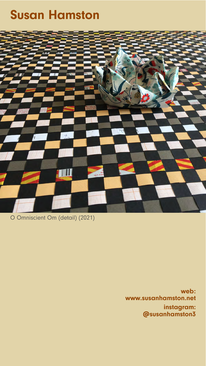O Omniscient Om (detail) (2021)

### Susan Hamston



web: [www.susanhamston.net](http://www.susanhamston.net)  instagram: [@susanhamston3](https://www.instagram.com/susanhamston3/)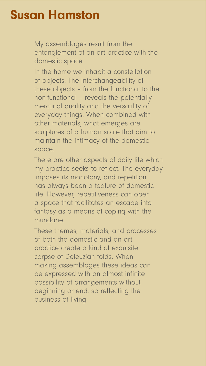#### Susan Hamston

My assemblages result from the entanglement of an art practice with the domestic space.

In the home we inhabit a constellation of objects. The interchangeability of these objects – from the functional to the non-functional – reveals the potentially mercurial quality and the versatility of everyday things. When combined with other materials, what emerges are sculptures of a human scale that aim to maintain the intimacy of the domestic space.

There are other aspects of daily life which my practice seeks to reflect. The everyday imposes its monotony, and repetition has always been a feature of domestic life. However, repetitiveness can open a space that facilitates an escape into fantasy as a means of coping with the mundane.

These themes, materials, and processes of both the domestic and an art practice create a kind of exquisite corpse of Deleuzian folds. When making assemblages these ideas can be expressed with an almost infinite possibility of arrangements without beginning or end, so reflecting the business of living.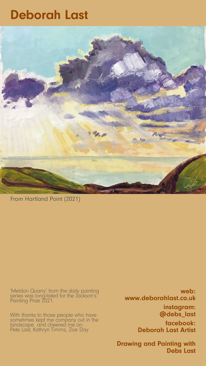From Hartland Point (2021)

#### Deborah Last



#### 'Meldon Quarry' from the daily painting series was long-listed for the Jackson's Painting Prize 2021.

web: [www.deborahlast.co.uk](http://www.deborahlast.co.uk ) instagram: [@debs\\_last](https://www.instagram.com/debs_last/) facebook: [Deborah Last Artist](https://www.facebook.com/DebsLastOfficial)

With thanks to those people who have sometimes kept me company out in the landscape and cheered me on: Pete Last, Kathryn Timms, Zoe Day

#### [Drawing and Painting with](https://www.facebook.com/deborahlastartist)  [Debs Last](https://www.facebook.com/deborahlastartist)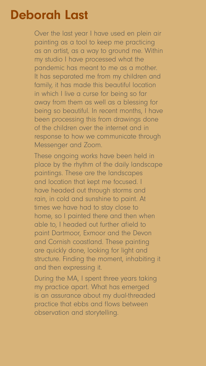### Deborah Last

Over the last year I have used en plein air painting as a tool to keep me practicing as an artist, as a way to ground me. Within my studio I have processed what the pandemic has meant to me as a mother. It has separated me from my children and family, it has made this beautiful location in which I live a curse for being so far away from them as well as a blessing for being so beautiful. In recent months, I have been processing this from drawings done of the children over the internet and in response to how we communicate through Messenger and Zoom.

These ongoing works have been held in place by the rhythm of the daily landscape paintings. These are the landscapes and location that kept me focused. I have headed out through storms and rain, in cold and sunshine to paint. At times we have had to stay close to home, so I painted there and then when able to, I headed out further afield to paint Dartmoor, Exmoor and the Devon and Cornish coastland. These painting are quickly done, looking for light and structure. Finding the moment, inhabiting it and then expressing it.

During the MA, I spent three years taking my practice apart. What has emerged is an assurance about my dual-threaded practice that ebbs and flows between observation and storytelling.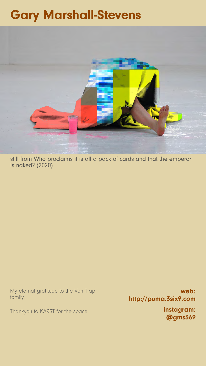still from Who proclaims it is all a pack of cards and that the emperor is naked? (2020)

# Gary Marshall-Stevens



My eternal gratitude to the Von Trap family.

Thankyou to KARST for the space.

web: [http://puma.3six9.com](https://puma.3six9.com/) instagram: [@gms369](https://www.instagram.com/gms369/)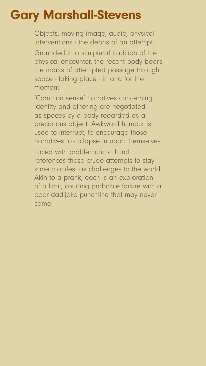# Gary Marshall-Stevens

Objects, moving image, audio, physical interventions - the debris of an attempt.

Grounded in a sculptural tradition of the physical encounter, the recent body bears the marks of attempted passage through space - taking place - in and for the moment.

'Common sense' narratives concerning identity and othering are negotiated as spaces by a body regarded as a precarious object. Awkward humour is used to interrupt, to encourage those narratives to collapse in upon themselves.

Laced with problematic cultural references these crude attempts to stay sane manifest as challenges to the world. Akin to a prank, each is an exploration of a limit, courting probable failure with a poor dad-joke punchline that may never come.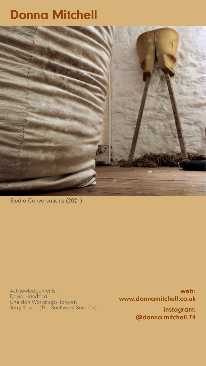Studio Conversations (2021)

#### Donna Mitchell



Acknowledgements: David Handford Chelston Workshops Torquay Jerry Sowell (The Southwest Sofa Co)

web: [www.donnamitchell.co.uk](http://www.donnamitchell.co.uk   )  instagram: [@donna.mitchell.74](https://www.instagram.com/donna.mitchell.74/)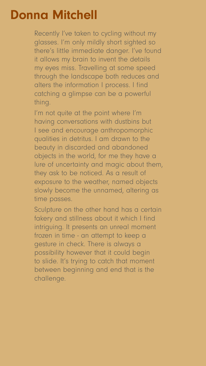Recently I've taken to cycling without my glasses. I'm only mildly short sighted so there's little immediate danger. I've found it allows my brain to invent the details my eyes miss. Travelling at some speed through the landscape both reduces and alters the information I process. I find catching a glimpse can be a powerful thing.

I'm not quite at the point where I'm having conversations with dustbins but I see and encourage anthropomorphic qualities in detritus. I am drawn to the beauty in discarded and abandoned objects in the world, for me they have a lure of uncertainty and magic about them, they ask to be noticed. As a result of exposure to the weather, named objects slowly become the unnamed, altering as time passes.

Sculpture on the other hand has a certain fakery and stillness about it which I find intriguing. It presents an unreal moment frozen in time - an attempt to keep a gesture in check. There is always a possibility however that it could begin

to slide. It's trying to catch that moment between beginning and end that is the challenge.

### Donna Mitchell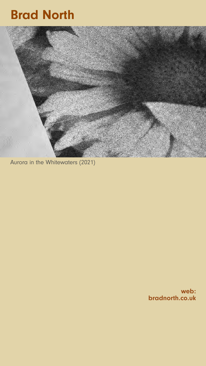Aurora in the Whitewaters (2021)

# Brad North



#### web: [bradnorth.co.uk](http://bradnorth.co.uk)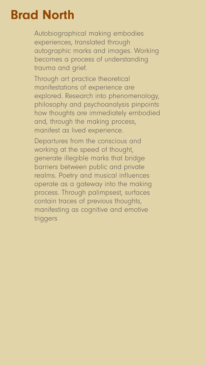#### Brad North

Autobiographical making embodies experiences, translated through autographic marks and images. Working becomes a process of understanding trauma and grief.

Through art practice theoretical manifestations of experience are explored. Research into phenomenology, philosophy and psychoanalysis pinpoints how thoughts are immediately embodied and, through the making process, manifest as lived experience.

Departures from the conscious and working at the speed of thought, generate illegible marks that bridge barriers between public and private realms. Poetry and musical influences operate as a gateway into the making process. Through palimpsest, surfaces contain traces of previous thoughts, manifesting as cognitive and emotive triggers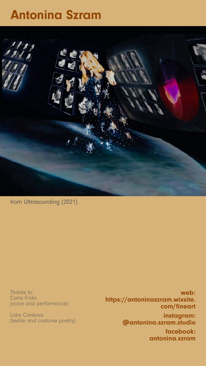from Ultrasounding (2021)

# Antonina Szram



web: [https://antoninaszram.wixsite.](http:// www.antoninaszram.wixsite.com/fineart  ) [com/fineart](http:// www.antoninaszram.wixsite.com/fineart  ) instagram: [@antonina.szram.studio](https://www.instagram.com/antonina.szram.studio/)  facebook: [antonina.szram](https://www.facebook.com/antoninaszrambrown) 

Thanks to: Carla Frida (voice and performance)

Lidia Cankova (textile and costume poetry)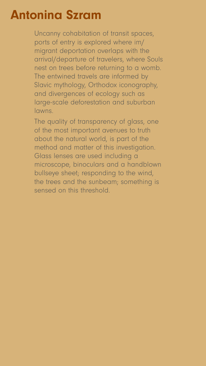### Antonina Szram

Uncanny cohabitation of transit spaces, ports of entry is explored where im/ migrant deportation overlaps with the arrival/departure of travelers, where Souls nest on trees before returning to a womb. The entwined travels are informed by Slavic mythology, Orthodox iconography, and divergences of ecology such as large-scale deforestation and suburban lawns.

The quality of transparency of glass, one of the most important avenues to truth about the natural world, is part of the method and matter of this investigation. Glass lenses are used including a microscope, binoculars and a handblown bullseye sheet; responding to the wind, the trees and the sunbeam; something is sensed on this threshold.